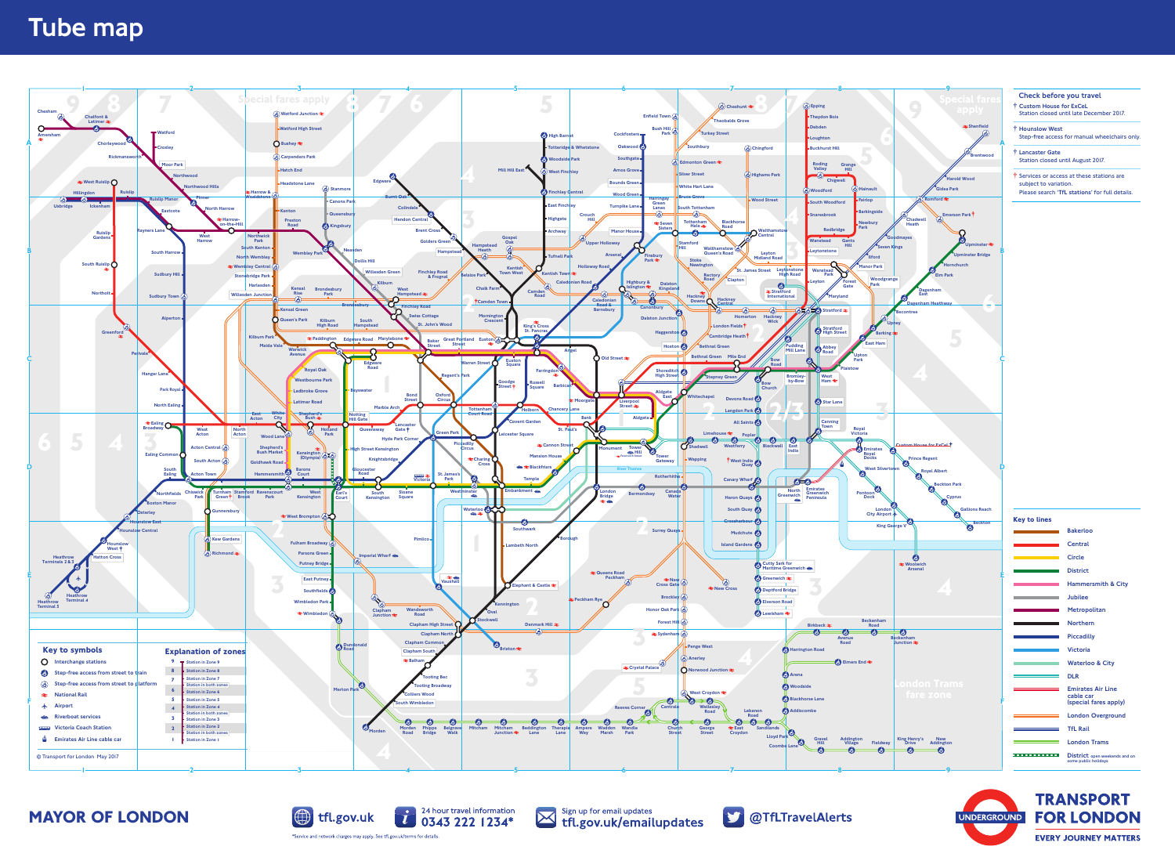**MAYOR OF LONDON**



charges may apply. See tfl.gov.uk/terms for details



Sign up for email updates Sign up for email updates<br>
tfl.gov.uk/emailupdates



## Tube map

- Check before you travel
- § Custom House for ExCeL Station closed until late December 2017. ---------------------------------------------------------------------------
- § Hounslow West Step-free access for manual wheelchairs only. ---------------------------------------------------------------------------
- § Lancaster Gate Station closed until August 2017. ---------------------------------------------------------------------------
- § Services or access at these stations are subject to variation Please search 'TfL stations' for full details.

| <b>Key to lines</b>                            |                                                                |
|------------------------------------------------|----------------------------------------------------------------|
|                                                | <b>Bakerloo</b>                                                |
|                                                | Central                                                        |
| and the state of the state of the state of the | Circle                                                         |
|                                                | <b>District</b>                                                |
|                                                | <b>Hammersmith &amp; City</b>                                  |
|                                                | <b>Jubilee</b>                                                 |
|                                                | Metropolitan                                                   |
|                                                | <b>Northern</b>                                                |
|                                                | <b>Piccadilly</b>                                              |
|                                                | <b>Victoria</b>                                                |
|                                                | <b>Waterloo &amp; City</b>                                     |
|                                                | <b>DLR</b>                                                     |
|                                                | <b>Emirates Air Line</b><br>cable car<br>(special fares apply) |
|                                                | <b>London Overground</b>                                       |
|                                                | <b>TfL Rail</b>                                                |
|                                                | <b>London Trams</b>                                            |
| .                                              | District open weekends and on<br>some public holidays          |



**TRANSPORT FOR LONDON EVERY JOURNEY MATTERS**